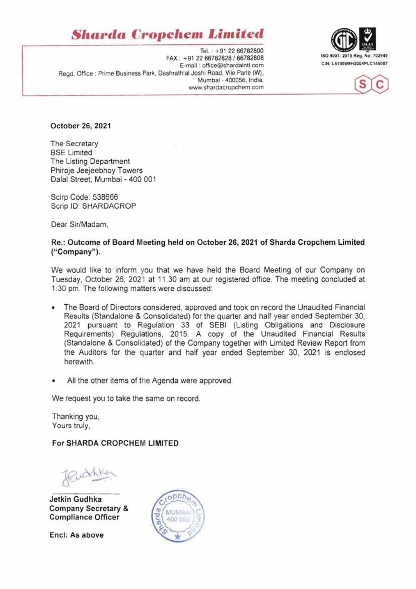## **Sharda Cropchem Limited**

Tel.: +91 22 66782800 FAX: +91 22 66782828 / 66782808 E-mail: office@shardaintl.com Regd. Office : Prime Business Park, Dashrathlal Joshi Road, Vile Parle (W), Mumbai - 400056, India. www.shardacropchem.com





October 26, 2021

The Secretary **BSE Limited** The Listing Department Phiroje Jeejeebhoy Towers Dalal Street, Mumbai - 400 001

Sciro Code: 538666 Scrip ID: SHARDACROP

Dear Sir/Madam.

#### Re.: Outcome of Board Meeting held on October 26, 2021 of Sharda Cropchem Limited ("Company").

We would like to inform you that we have held the Board Meeting of our Company on Tuesday, October 26, 2021 at 11.30 am at our registered office. The meeting concluded at 1:30 pm. The following matters were discussed:

- The Board of Directors considered, approved and took on record the Unaudited Financial  $\bullet$ Results (Standalone & Consolidated) for the quarter and half year ended September 30. 2021 pursuant to Regulation 33 of SEBI (Listing Obligations and Disclosure Requirements) Regulations, 2015. A copy of the Unaudited Financial Results (Standalone & Consolidated) of the Company together with Limited Review Report from the Auditors for the quarter and half year ended September 30, 2021 is enclosed herewith.
- All the other items of the Agenda were approved.

We request you to take the same on record.

Thanking you, Yours truly.

### For SHARDA CROPCHEM LIMITED

Richker

Jetkin Gudhka **Company Secretary & Compliance Officer** 

Encl: As above

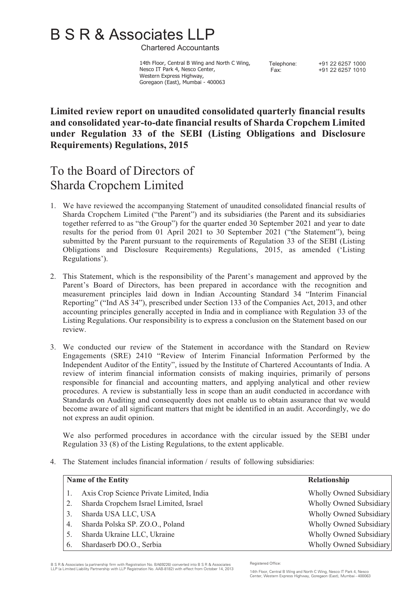# B S R & Associates LLP

Chartered Accountants

 14th Floor, Central B Wing and North C Wing, Nesco IT Park 4, Nesco Center, Western Express Highway, Goregaon (East), Mumbai - 400063

Telephone: +91 22 6257 1000 Fax: +91 22 6257 1010

## **Limited review report on unaudited consolidated quarterly financial results and consolidated year-to-date financial results of Sharda Cropchem Limited under Regulation 33 of the SEBI (Listing Obligations and Disclosure Requirements) Regulations, 2015**

## To the Board of Directors of Sharda Cropchem Limited

- 1. We have reviewed the accompanying Statement of unaudited consolidated financial results of Sharda Cropchem Limited ("the Parent") and its subsidiaries (the Parent and its subsidiaries together referred to as "the Group") for the quarter ended 30 September 2021 and year to date results for the period from 01 April 2021 to 30 September 2021 ("the Statement"), being submitted by the Parent pursuant to the requirements of Regulation 33 of the SEBI (Listing Obligations and Disclosure Requirements) Regulations, 2015, as amended ('Listing Regulations').
- 2. This Statement, which is the responsibility of the Parent's management and approved by the Parent's Board of Directors, has been prepared in accordance with the recognition and measurement principles laid down in Indian Accounting Standard 34 "Interim Financial Reporting" ("Ind AS 34"), prescribed under Section 133 of the Companies Act, 2013, and other accounting principles generally accepted in India and in compliance with Regulation 33 of the Listing Regulations. Our responsibility is to express a conclusion on the Statement based on our review.
- 3. We conducted our review of the Statement in accordance with the Standard on Review Engagements (SRE) 2410 "Review of Interim Financial Information Performed by the Independent Auditor of the Entity", issued by the Institute of Chartered Accountants of India. A review of interim financial information consists of making inquiries, primarily of persons responsible for financial and accounting matters, and applying analytical and other review procedures. A review is substantially less in scope than an audit conducted in accordance with Standards on Auditing and consequently does not enable us to obtain assurance that we would become aware of all significant matters that might be identified in an audit. Accordingly, we do not express an audit opinion.

We also performed procedures in accordance with the circular issued by the SEBI under Regulation 33 (8) of the Listing Regulations, to the extent applicable.

4. The Statement includes financial information / results of following subsidiaries:

|    | <b>Name of the Entity</b>                | Relationship            |
|----|------------------------------------------|-------------------------|
|    | Axis Crop Science Private Limited, India | Wholly Owned Subsidiary |
|    | Sharda Cropchem Israel Limited, Israel   | Wholly Owned Subsidiary |
|    | Sharda USA LLC, USA                      | Wholly Owned Subsidiary |
| 4. | Sharda Polska SP. ZO.O., Poland          | Wholly Owned Subsidiary |
|    | Sharda Ukraine LLC, Ukraine              | Wholly Owned Subsidiary |
| 6. | Shardaserb DO.O., Serbia                 | Wholly Owned Subsidiary |

B S R & Associates (a partnership firm with Registration No. BA69226) converted into B S R & Associates LLP (a Limited Liability Partnership with LLP Registration No. AAB-8182) with effect from October 14, 2013

Registered Office:

<sup>14</sup>th Floor, Central B Wing and North C Wing, Nesco IT Park 4, Nesco Center, Western Express Highway, Goregaon (East), Mumbai - 400063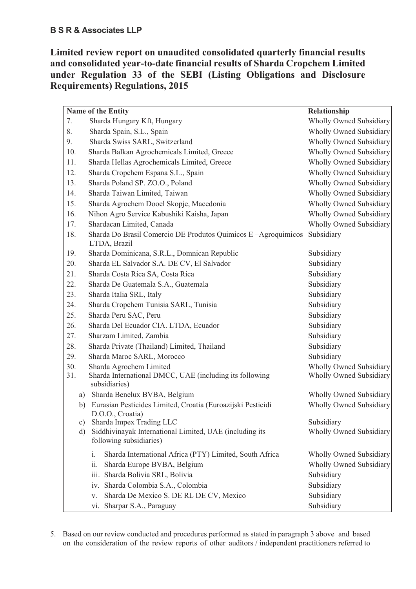**Limited review report on unaudited consolidated quarterly financial results and consolidated year-to-date financial results of Sharda Cropchem Limited under Regulation 33 of the SEBI (Listing Obligations and Disclosure Requirements) Regulations, 2015** 

| Name of the Entity                                                                       | Relationship                   |
|------------------------------------------------------------------------------------------|--------------------------------|
| 7.<br>Sharda Hungary Kft, Hungary                                                        | Wholly Owned Subsidiary        |
| 8.<br>Sharda Spain, S.L., Spain                                                          | <b>Wholly Owned Subsidiary</b> |
| 9.<br>Sharda Swiss SARL, Switzerland                                                     | <b>Wholly Owned Subsidiary</b> |
| Sharda Balkan Agrochemicals Limited, Greece<br>10.                                       | Wholly Owned Subsidiary        |
| Sharda Hellas Agrochemicals Limited, Greece<br>11.                                       | Wholly Owned Subsidiary        |
| Sharda Cropchem Espana S.L., Spain<br>12.                                                | <b>Wholly Owned Subsidiary</b> |
| Sharda Poland SP. ZO.O., Poland<br>13.                                                   | <b>Wholly Owned Subsidiary</b> |
| Sharda Taiwan Limited, Taiwan<br>14.                                                     | <b>Wholly Owned Subsidiary</b> |
| 15.<br>Sharda Agrochem Dooel Skopje, Macedonia                                           | Wholly Owned Subsidiary        |
| 16.<br>Nihon Agro Service Kabushiki Kaisha, Japan                                        | <b>Wholly Owned Subsidiary</b> |
| 17.<br>Shardacan Limited, Canada                                                         | Wholly Owned Subsidiary        |
| Sharda Do Brasil Comercio DE Produtos Quimicos E-Agroquimicos<br>18.<br>LTDA, Brazil     | Subsidiary                     |
| 19.<br>Sharda Dominicana, S.R.L., Domnican Republic                                      | Subsidiary                     |
| 20.<br>Sharda EL Salvador S.A. DE CV, El Salvador                                        | Subsidiary                     |
| 21.<br>Sharda Costa Rica SA, Costa Rica                                                  | Subsidiary                     |
| 22.<br>Sharda De Guatemala S.A., Guatemala                                               | Subsidiary                     |
| 23.<br>Sharda Italia SRL, Italy                                                          | Subsidiary                     |
| Sharda Cropchem Tunisia SARL, Tunisia<br>24.                                             | Subsidiary                     |
| 25.<br>Sharda Peru SAC, Peru                                                             | Subsidiary                     |
| 26.<br>Sharda Del Ecuador CIA. LTDA, Ecuador                                             | Subsidiary                     |
| 27.<br>Sharzam Limited, Zambia                                                           | Subsidiary                     |
| 28.<br>Sharda Private (Thailand) Limited, Thailand                                       | Subsidiary                     |
| 29.<br>Sharda Maroc SARL, Morocco                                                        | Subsidiary                     |
| 30.<br>Sharda Agrochem Limited                                                           | <b>Wholly Owned Subsidiary</b> |
| Sharda International DMCC, UAE (including its following<br>31.<br>subsidiaries)          | Wholly Owned Subsidiary        |
| Sharda Benelux BVBA, Belgium<br>a)                                                       | <b>Wholly Owned Subsidiary</b> |
| Eurasian Pesticides Limited, Croatia (Euroazijski Pesticidi<br>b)<br>D.O.O., Croatia)    | Wholly Owned Subsidiary        |
| Sharda Impex Trading LLC<br>$\mathbf{c})$                                                | Subsidiary                     |
| Siddhivinayak International Limited, UAE (including its<br>d)<br>following subsidiaries) | <b>Wholly Owned Subsidiary</b> |
| i.<br>Sharda International Africa (PTY) Limited, South Africa                            | Wholly Owned Subsidiary        |
| Sharda Europe BVBA, Belgium<br>ii.                                                       | Wholly Owned Subsidiary        |
| Sharda Bolivia SRL, Bolivia<br>iii.                                                      | Subsidiary                     |
| Sharda Colombia S.A., Colombia<br>iv.                                                    | Subsidiary                     |
| Sharda De Mexico S. DE RL DE CV, Mexico<br>V.                                            | Subsidiary                     |
| vi. Sharpar S.A., Paraguay                                                               | Subsidiary                     |

5. Based on our review conducted and procedures performed as stated in paragraph 3 above and based on the consideration of the review reports of other auditors / independent practitioners referred to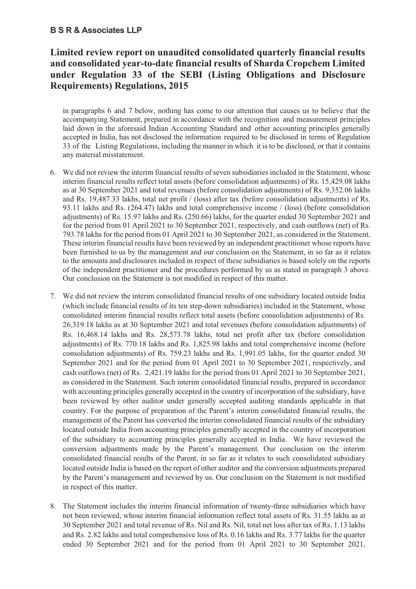## **Limited review report on unaudited consolidated quarterly financial results and consolidated year-to-date financial results of Sharda Cropchem Limited under Regulation 33 of the SEBI (Listing Obligations and Disclosure Requirements) Regulations, 2015**

in paragraphs 6 and 7 below, nothing has come to our attention that causes us to believe that the accompanying Statement, prepared in accordance with the recognition and measurement principles laid down in the aforesaid Indian Accounting Standard and other accounting principles generally accepted in India, has not disclosed the information required to be disclosed in terms of Regulation 33 of the Listing Regulations, including the manner in which it is to be disclosed, or that it contains any material misstatement.

- 6. We did not review the interim financial results of seven subsidiaries included in the Statement, whose interim financial results reflect total assets (before consolidation adjustments) of Rs. 15,429.08 lakhs as at 30 September 2021 and total revenues (before consolidation adjustments) of Rs. 9,352.06 lakhs and Rs. 19,487.33 lakhs, total net profit / (loss) after tax (before consolidation adjustments) of Rs. 93.11 lakhs and Rs. (264.47) lakhs and total comprehensive income / (loss) (before consolidation adjustments) of Rs. 15.97 lakhs and Rs. (250.66) lakhs, for the quarter ended 30 September 2021 and for the period from 01 April 2021 to 30 September 2021, respectively, and cash outflows (net) of Rs. 793.78 lakhs for the period from 01 April 2021 to 30 September 2021, as considered in the Statement. These interim financial results have been reviewed by an independent practitioner whose reports have been furnished to us by the management and our conclusion on the Statement, in so far as it relates to the amounts and disclosures included in respect of these subsidiaries is based solely on the reports of the independent practitioner and the procedures performed by us as stated in paragraph 3 above. Our conclusion on the Statement is not modified in respect of this matter.
- 7. We did not review the interim consolidated financial results of one subsidiary located outside India (which include financial results of its ten step-down subsidiaries) included in the Statement, whose consolidated interim financial results reflect total assets (before consolidation adjustments) of Rs. 26,319.18 lakhs as at 30 September 2021 and total revenues (before consolidation adjustments) of Rs. 16,468.14 lakhs and Rs. 28,573.78 lakhs, total net profit after tax (before consolidation adjustments) of Rs. 770.18 lakhs and Rs. 1,825.98 lakhs and total comprehensive income (before consolidation adjustments) of Rs. 759.23 lakhs and Rs. 1,991.05 lakhs, for the quarter ended 30 September 2021 and for the period from 01 April 2021 to 30 September 2021, respectively, and cash outflows (net) of Rs. 2,421.19 lakhs for the period from 01 April 2021 to 30 September 2021, as considered in the Statement. Such interim consolidated financial results, prepared in accordance with accounting principles generally accepted in the country of incorporation of the subsidiary, have been reviewed by other auditor under generally accepted auditing standards applicable in that country. For the purpose of preparation of the Parent's interim consolidated financial results, the management of the Parent has converted the interim consolidated financial results of the subsidiary located outside India from accounting principles generally accepted in the country of incorporation of the subsidiary to accounting principles generally accepted in India. We have reviewed the conversion adjustments made by the Parent's management. Our conclusion on the interim consolidated financial results of the Parent, in so far as it relates to such consolidated subsidiary located outside India is based on the report of other auditor and the conversion adjustments prepared by the Parent's management and reviewed by us. Our conclusion on the Statement is not modified in respect of this matter.
- 8. The Statement includes the interim financial information of twenty-three subsidiaries which have not been reviewed, whose interim financial information reflect total assets of Rs. 31.55 lakhs as at 30 September 2021 and total revenue of Rs. Nil and Rs. Nil, total net loss after tax of Rs. 1.13 lakhs and Rs. 2.82 lakhs and total comprehensive loss of Rs. 0.16 lakhs and Rs. 3.77 lakhs for the quarter ended 30 September 2021 and for the period from 01 April 2021 to 30 September 2021,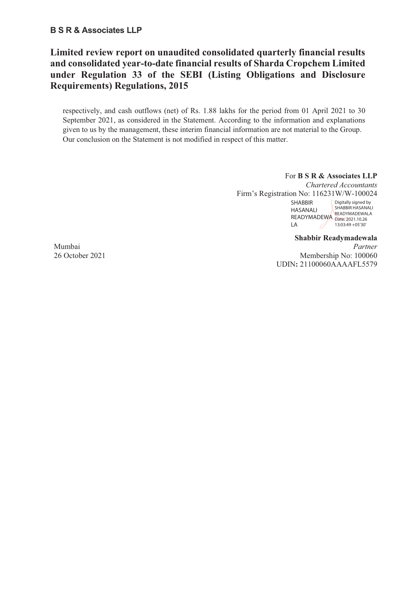## **Limited review report on unaudited consolidated quarterly financial results and consolidated year-to-date financial results of Sharda Cropchem Limited under Regulation 33 of the SEBI (Listing Obligations and Disclosure Requirements) Regulations, 2015**

respectively, and cash outflows (net) of Rs. 1.88 lakhs for the period from 01 April 2021 to 30 September 2021, as considered in the Statement. According to the information and explanations given to us by the management, these interim financial information are not material to the Group. Our conclusion on the Statement is not modified in respect of this matter.

#### For **B S R & Associates LLP**

*Chartered Accountants* Firm's Registration No: 116231W/W-100024 SHABBIR HASANALI Digitally signed by

SHABBIR HASANALI READYMADEWA READYMADEWALA Date: 2021.10.26 LA - 0 13:03:49 +05'30'

**Shabbir Readymadewala**  Mumbai *Partner*  26 October 2021 Membership No: 100060 UDIN**:** 21100060AAAAFL5579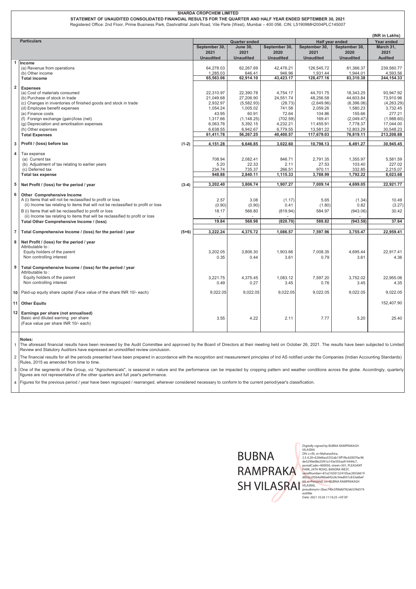|                | STATEMENT OF UNAUDITED CONSOLIDATED FINANCIAL RESULTS FOR THE QUARTER AND HALF YEAR ENDED SEPTEMBER 30, 2021<br>Registered Office: 2nd Floor, Prime Business Park, Dashrathlal Joshi Road, Vile Parle (West), Mumbai - 400 056. CIN: L51909MH2004PLC145007 |         |                                           |                                             |                                           |                                  |                                           |                        |  |  |
|----------------|------------------------------------------------------------------------------------------------------------------------------------------------------------------------------------------------------------------------------------------------------------|---------|-------------------------------------------|---------------------------------------------|-------------------------------------------|----------------------------------|-------------------------------------------|------------------------|--|--|
|                |                                                                                                                                                                                                                                                            |         |                                           |                                             |                                           |                                  |                                           | (INR in Lakhs)         |  |  |
|                | <b>Particulars</b>                                                                                                                                                                                                                                         |         | <b>Quarter ended</b>                      |                                             |                                           | Half year ended<br>September 30, | Year ended<br>March 31,                   |                        |  |  |
|                |                                                                                                                                                                                                                                                            |         | September 30,<br>2021<br><b>Unaudited</b> | <b>June 30,</b><br>2021<br><b>Unaudited</b> | September 30,<br>2020<br><b>Unaudited</b> | 2021<br><b>Unaudited</b>         | September 30,<br>2020<br><b>Unaudited</b> | 2021<br><b>Audited</b> |  |  |
| $\mathbf{1}$   | Income                                                                                                                                                                                                                                                     |         |                                           |                                             |                                           |                                  |                                           |                        |  |  |
|                | (a) Revenue from operations<br>(b) Other income                                                                                                                                                                                                            |         | 64,278.03                                 | 62,267.69<br>646.41                         | 42,476.21                                 | 126,545.72<br>1,931.44           | 81,366.37<br>1,944.01                     | 239,560.77<br>4,593.56 |  |  |
|                | <b>Total income</b>                                                                                                                                                                                                                                        |         | 1,285.03<br>65,563.06                     | 62,914.10                                   | 946.96<br>43,423.17                       | 128,477.16                       | 83,310.38                                 | 244, 154. 33           |  |  |
|                |                                                                                                                                                                                                                                                            |         |                                           |                                             |                                           |                                  |                                           |                        |  |  |
| $\overline{2}$ | <b>Expenses</b><br>(a) Cost of materials consumed                                                                                                                                                                                                          |         | 22,310.97                                 | 22,390.78                                   | 4,754.17                                  | 44,701.75                        | 18,343.25                                 | 93,947.92              |  |  |
|                | (b) Purchase of stock in trade                                                                                                                                                                                                                             |         | 21,049.68                                 | 27,206.90                                   | 24,551.74                                 | 48,256.58                        | 44,603.84                                 | 73,910.96              |  |  |
|                | (c) Changes in inventories of finished goods and stock in trade                                                                                                                                                                                            |         | 2,932.97                                  | (5,582.93)                                  | (28.73)                                   | (2,649.96)                       | (6,396.06)                                | (4,263.29)             |  |  |
|                | (d) Employee benefit expenses                                                                                                                                                                                                                              |         | 1,054.24                                  | 1,005.02                                    | 741.58                                    | 2,059.26                         | 1,580.23                                  | 3,732.45               |  |  |
|                | (e) Finance costs<br>(f) Foreign exchange (gain)/loss (net)                                                                                                                                                                                                |         | 43.95<br>1,317.66                         | 60.91<br>(1, 148.25)                        | 72.64<br>(702.59)                         | 104.86<br>169.41                 | 155.66<br>(2,049.47)                      | 277.21<br>(1,988.60)   |  |  |
|                | (g) Depreciation and amortisation expenses                                                                                                                                                                                                                 |         | 6,063.76                                  | 5,392.15                                    | 4,232.21                                  | 11,455.91                        | 7,778.37                                  | 17,044.00              |  |  |
|                | (h) Other expenses                                                                                                                                                                                                                                         |         | 6,638.55                                  | 6,942.67                                    | 6,779.55                                  | 13,581.22                        | 12,803.29                                 | 30,548.23              |  |  |
|                | <b>Total Expenses</b>                                                                                                                                                                                                                                      |         | 61,411.78                                 | 56,267.25                                   | 40,400.57                                 | 117,679.03                       | 76,819.11                                 | 213,208.88             |  |  |
| 3              | Profit / (loss) before tax                                                                                                                                                                                                                                 | $(1-2)$ | 4,151.28                                  | 6,646.85                                    | 3,022.60                                  | 10,798.13                        | 6,491.27                                  | 30,945.45              |  |  |
|                |                                                                                                                                                                                                                                                            |         |                                           |                                             |                                           |                                  |                                           |                        |  |  |
| 4              | Tax expense<br>(a) Current tax                                                                                                                                                                                                                             |         | 708.94                                    | 2,082.41                                    | 846.71                                    | 2,791.35                         | 1,355.97                                  | 5,581.59               |  |  |
|                | (b) Adjustment of tax relating to earlier years                                                                                                                                                                                                            |         | 5.20                                      | 22.33                                       | 2.11                                      | 27.53                            | 103.40                                    | 227.02                 |  |  |
|                | (c) Deferred tax                                                                                                                                                                                                                                           |         | 234.74                                    | 735.37                                      | 266.51                                    | 970.11                           | 332.85                                    | 2,215.07               |  |  |
|                | <b>Total tax expense</b>                                                                                                                                                                                                                                   |         | 948.88                                    | 2,840.11                                    | 1,115.33                                  | 3,788.99                         | 1,792.22                                  | 8,023.68               |  |  |
| 5              | Net Profit / (loss) for the period / year                                                                                                                                                                                                                  | $(3-4)$ | 3,202.40                                  | 3,806.74                                    | 1.907.27                                  | 7.009.14                         | 4.699.05                                  | 22,921.77              |  |  |
| 6              |                                                                                                                                                                                                                                                            |         |                                           |                                             |                                           |                                  |                                           |                        |  |  |
|                | <b>Other Comprehensive Income</b><br>A (i) Items that will not be reclassified to profit or loss                                                                                                                                                           |         | 2.57                                      | 3.08                                        | (1.17)                                    | 5.65                             | (1.34)                                    | 10.49                  |  |  |
|                | (ii) Income tax relating to items that will not be reclassified to profit or loss                                                                                                                                                                          |         | (0.90)                                    | (0.90)                                      | 0.41                                      | (1.80)                           | 0.82                                      | (3.27)                 |  |  |
|                | B (i) Items that will be reclassified to profit or loss                                                                                                                                                                                                    |         | 18.17                                     | 566.80                                      | (819.94)                                  | 584.97                           | (943.06)                                  | 30.42                  |  |  |
|                | (ii) Income tax relating to items that will be reclassified to profit or loss                                                                                                                                                                              |         |                                           |                                             |                                           |                                  |                                           |                        |  |  |
|                | Total Other Comprehensive Income / (loss)                                                                                                                                                                                                                  |         | 19.84                                     | 568.98                                      | (820.70)                                  | 588.82                           | (943.58)                                  | 37.64                  |  |  |
| 7 <sup>1</sup> | Total Comprehensive Income / (loss) for the period / year                                                                                                                                                                                                  | $(5+6)$ | 3,222.24                                  | 4,375.72                                    | 1,086.57                                  | 7,597.96                         | 3,755.47                                  | 22,959.41              |  |  |
| 8              | Net Profit / (loss) for the period / year                                                                                                                                                                                                                  |         |                                           |                                             |                                           |                                  |                                           |                        |  |  |
|                | Attributable to:                                                                                                                                                                                                                                           |         |                                           |                                             |                                           |                                  |                                           |                        |  |  |
|                | Equity holders of the parent                                                                                                                                                                                                                               |         | 3,202.05                                  | 3.806.30                                    | 1.903.66                                  | 7,008.35                         | 4,695.44                                  | 22.917.41              |  |  |
|                | Non controlling interest                                                                                                                                                                                                                                   |         | 0.35                                      | 0.44                                        | 3.61                                      | 0.79                             | 3.61                                      | 4.36                   |  |  |
| 9              | Total Comprehensive Income / (loss) for the period / year                                                                                                                                                                                                  |         |                                           |                                             |                                           |                                  |                                           |                        |  |  |
|                | Attributable to:                                                                                                                                                                                                                                           |         |                                           |                                             |                                           |                                  |                                           |                        |  |  |
|                | Equity holders of the parent<br>Non controlling interest                                                                                                                                                                                                   |         | 3,221.75                                  | 4,375.45                                    | 1,083.12                                  | 7,597.20                         | 3,752.02                                  | 22.955.06              |  |  |
|                |                                                                                                                                                                                                                                                            |         | 0.49                                      | 0.27                                        | 3.45                                      | 0.76                             | 3.45                                      | 4.35                   |  |  |
|                | 10 Paid-up equity share capital (Face value of the share INR 10/- each)                                                                                                                                                                                    |         | 9,022.05                                  | 9,022.05                                    | 9,022.05                                  | 9,022.05                         | 9,022.05                                  | 9,022.05               |  |  |
|                | 11 Other Equity                                                                                                                                                                                                                                            |         |                                           |                                             |                                           |                                  |                                           | 152,407.90             |  |  |
| 12             | Earnings per share (not annualised)                                                                                                                                                                                                                        |         |                                           |                                             |                                           |                                  |                                           |                        |  |  |
|                | Basic and diluted earning per share                                                                                                                                                                                                                        |         | 3.55                                      | 4.22                                        | 2.11                                      | 7.77                             | 5.20                                      | 25.40                  |  |  |
|                | (Face value per share INR 10/- each)                                                                                                                                                                                                                       |         |                                           |                                             |                                           |                                  |                                           |                        |  |  |
|                |                                                                                                                                                                                                                                                            |         |                                           |                                             |                                           |                                  |                                           |                        |  |  |

**Notes:**

1 The aforesaid financial results have been reviewed by the Audit Committee and approved by the Board of Directors at their meeting held on October 26, 2021. The results have been subjected to Limited Review and Statutory Auditors have expressed an unmodified review conclusion.

2 The financial results for all the periods presented have been prepared in accordance with the recognition and measurement principles of Ind AS notified under the Companies (Indian Accounting Standards) Rules, 2015 as amended from time to time.

3 One of the segments of the Group, viz "Agrochemicals", is seasonal in nature and the performance can be impacted by cropping pattern and weather conditions across the globe. Accordingly, quarterly figures are not representative of the other quarters and full year's performance.

4 Figures for the previous period / year have been regrouped / rearranged, wherever considered necessary to conform to the current period/year's classification.



Digitally signed by BUBNA RAMPRAKASH<br>Digitally signed by BUBNA RAMPRAKASH<br>DN: c=IN, st=Maharashtra,<br>2.5.4.20=620d4aa3332ab13ff1f6c62007fac96<br>des290e08e25f41a143e593aa914444c7,<br>postalCode=400050, street=501, PLEASANT<br>PRAK,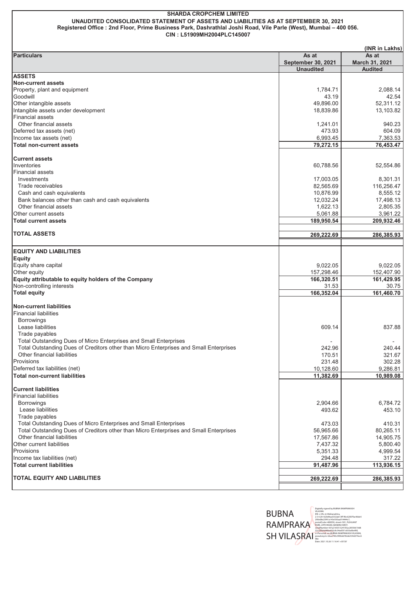**UNAUDITED CONSOLIDATED STATEMENT OF ASSETS AND LIABILITIES AS AT SEPTEMBER 30, 2021 Registered Office : 2nd Floor, Prime Business Park, Dashrathlal Joshi Road, Vile Parle (West), Mumbai – 400 056. CIN : L51909MH2004PLC145007**

|                                                                                                                       |                           | (INR in Lakhs)   |
|-----------------------------------------------------------------------------------------------------------------------|---------------------------|------------------|
| <b>Particulars</b>                                                                                                    | As at                     | As at            |
|                                                                                                                       | <b>September 30, 2021</b> | March 31, 2021   |
| <b>ASSETS</b>                                                                                                         | <b>Unaudited</b>          | <b>Audited</b>   |
| <b>Non-current assets</b>                                                                                             |                           |                  |
| Property, plant and equipment                                                                                         | 1,784.71                  | 2.088.14         |
| Goodwill                                                                                                              | 43.19                     | 42.54            |
| Other intangible assets                                                                                               | 49,896.00                 | 52,311.12        |
| Intangible assets under development                                                                                   | 18,839.86                 | 13,103.82        |
| <b>Financial assets</b>                                                                                               |                           |                  |
| Other financial assets                                                                                                | 1,241.01                  | 940.23           |
| Deferred tax assets (net)                                                                                             | 473.93                    | 604.09           |
| Income tax assets (net)                                                                                               | 6,993.45                  | 7,363.53         |
| <b>Total non-current assets</b>                                                                                       | 79,272.15                 | 76,453.47        |
| <b>Current assets</b>                                                                                                 |                           |                  |
| Inventories                                                                                                           | 60,788.56                 | 52,554.86        |
| <b>Financial assets</b>                                                                                               |                           |                  |
| Investments                                                                                                           | 17,003.05                 | 8,301.31         |
| Trade receivables                                                                                                     | 82,565.69                 | 116,256.47       |
| Cash and cash equivalents                                                                                             | 10.876.99                 | 8,555.12         |
| Bank balances other than cash and cash equivalents                                                                    | 12,032.24                 | 17,498.13        |
| Other financial assets                                                                                                | 1,622.13                  | 2,805.35         |
| Other current assets                                                                                                  | 5,061.88                  | 3,961.22         |
| <b>Total current assets</b>                                                                                           | 189,950.54                | 209,932.46       |
| TOTAL ASSETS                                                                                                          | 269,222.69                | 286,385.93       |
|                                                                                                                       |                           |                  |
| <b>EQUITY AND LIABILITIES</b>                                                                                         |                           |                  |
| <b>Equity</b>                                                                                                         |                           |                  |
| Equity share capital                                                                                                  | 9,022.05                  | 9,022.05         |
| Other equity                                                                                                          | 157,298.46                | 152,407.90       |
| Equity attributable to equity holders of the Company                                                                  | 166,320.51                | 161,429.95       |
| Non-controlling interests                                                                                             | 31.53                     | 30.75            |
| <b>Total equity</b>                                                                                                   | 166,352.04                | 161,460.70       |
|                                                                                                                       |                           |                  |
| <b>Non-current liabilities</b>                                                                                        |                           |                  |
| <b>Financial liabilities</b>                                                                                          |                           |                  |
| <b>Borrowings</b>                                                                                                     |                           |                  |
| Lease liabilities                                                                                                     | 609.14                    | 837.88           |
| Trade payables                                                                                                        |                           |                  |
| Total Outstanding Dues of Micro Enterprises and Small Enterprises                                                     |                           |                  |
| Total Outstanding Dues of Creditors other than Micro Enterprises and Small Enterprises<br>Other financial liabilities | 242.96                    | 240.44<br>321.67 |
| Provisions                                                                                                            | 170.51<br>231.48          | 302.28           |
| Deferred tax liabilities (net)                                                                                        | 10,128.60                 | 9,286.81         |
| <b>Total non-current liabilities</b>                                                                                  | 11,382.69                 | 10,989.08        |
|                                                                                                                       |                           |                  |
| <b>Current liabilities</b>                                                                                            |                           |                  |
| <b>Financial liabilities</b>                                                                                          |                           |                  |
| <b>Borrowings</b>                                                                                                     | 2,904.66                  | 6,784.72         |
| Lease liabilities                                                                                                     | 493.62                    | 453.10           |
| Trade payables                                                                                                        |                           |                  |
| Total Outstanding Dues of Micro Enterprises and Small Enterprises                                                     | 473.03                    | 410.31           |
| Total Outstanding Dues of Creditors other than Micro Enterprises and Small Enterprises                                | 56,965.66                 | 80,265.11        |
| Other financial liabilities                                                                                           | 17,567.86                 | 14,905.75        |
| Other current liabilities                                                                                             | 7,437.32                  | 5,800.40         |
| Provisions                                                                                                            | 5,351.33                  | 4,999.54         |
| Income tax liabilities (net)                                                                                          | 294.48                    | 317.22           |
| <b>Total current liabilities</b>                                                                                      | 91,487.96                 | 113,936.15       |
| <b>TOTAL EQUITY AND LIABILITIES</b>                                                                                   | 269,222.69                | 286,385.93       |
|                                                                                                                       |                           |                  |



Digitally signed by BUBNA RAMPRAKASH<br>VILASRAI<br>DN: c=IN, st=Maharashtra,<br>2.5.4.20=620d4aa3332ab13ff1f6c62007fac96de5<br>290e08e25f41a143e593aa914444c7,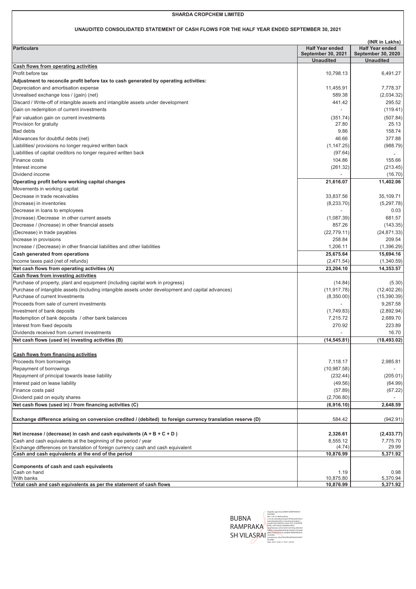#### **UNAUDITED CONSOLIDATED STATEMENT OF CASH FLOWS FOR THE HALF YEAR ENDED SEPTEMBER 30, 2021**

|                                                                                                            |                           | (INR in Lakhs)            |
|------------------------------------------------------------------------------------------------------------|---------------------------|---------------------------|
| <b>Particulars</b>                                                                                         | <b>Half Year ended</b>    | <b>Half Year ended</b>    |
|                                                                                                            | <b>September 30, 2021</b> | <b>September 30, 2020</b> |
|                                                                                                            | <b>Unaudited</b>          | <b>Unaudited</b>          |
| Cash flows from operating activities                                                                       |                           |                           |
| Profit before tax                                                                                          | 10.798.13                 | 6,491.27                  |
| Adjustment to reconcile profit before tax to cash generated by operating activities:                       |                           |                           |
| Depreciation and amortisation expense                                                                      | 11,455.91                 | 7,778.37                  |
| Unrealised exchange loss / (gain) (net)                                                                    | 589.38                    | (2,034.32)                |
| Discard / Write-off of intangible assets and intangible assets under development                           | 441.42                    | 295.52                    |
| Gain on redemption of current investments                                                                  |                           | (119.41)                  |
| Fair valuation gain on current investments                                                                 | (351.74)                  | (507.84)                  |
| Provision for gratuity                                                                                     | 27.80                     | 25.13                     |
| <b>Bad debts</b>                                                                                           | 9.86                      | 158.74                    |
| Allowances for doubtful debts (net)                                                                        | 46.66                     | 377.88                    |
| Liabilities/ provisions no longer required written back                                                    | (1, 147.25)               | (988.79)                  |
| Liabilities of capital creditors no longer required written back                                           | (97.64)                   |                           |
| <b>Finance costs</b>                                                                                       | 104.86                    | 155.66                    |
| Interest income                                                                                            | (261.32)                  | (213.45)                  |
| Dividend income                                                                                            |                           | (16.70)                   |
| Operating profit before working capital changes                                                            | 21,616.07                 | 11,402.06                 |
| Movements in working capital:                                                                              |                           |                           |
| Decrease in trade receivables                                                                              | 33,837.56                 | 35,109.71                 |
| (Increase) in inventories                                                                                  | (8,233.70)                | (5,297.78)                |
| Decrease in loans to employees                                                                             |                           | 0.03                      |
| (Increase) /Decrease in other current assets                                                               | (1,087.39)                | 681.57                    |
| Decrease / (Increase) in other financial assets                                                            | 857.26                    | (143.35)                  |
| (Decrease) in trade payables                                                                               | (22, 779.11)              | (24, 871.33)              |
| Increase in provisions                                                                                     | 258.84                    | 209.54                    |
| Increase / (Decrease) in other financial liabilities and other liabilities                                 | 1,206.11                  | (1,396.29)                |
| Cash generated from operations                                                                             | 25,675.64                 | 15,694.16                 |
| Income taxes paid (net of refunds)                                                                         | (2,471.54)                | (1,340.59)                |
| Net cash flows from operating activities (A)                                                               | 23,204.10                 | 14,353.57                 |
| Cash flows from investing activities                                                                       |                           |                           |
| Purchase of property, plant and equipment (including capital work in progress)                             | (14.84)                   | (5.30)                    |
| Purchase of intangible assets (including intangible assets under development and capital advances)         | (11, 917.78)              | (12, 402.26)              |
| Purchase of current Investments                                                                            | (8,350.00)                | (15,390.39)               |
| Proceeds from sale of current investments                                                                  |                           | 9,267.58                  |
| Investment of bank deposits                                                                                | (1,749.83)                | (2,892.94)                |
| Redemption of bank deposits / other bank balances                                                          | 7,215.72                  | 2,689.70                  |
| Interest from fixed deposits                                                                               | 270.92                    | 223.89                    |
| Dividends received from current investments                                                                |                           | 16.70                     |
| Net cash flows (used in) investing activities (B)                                                          | (14, 545.81)              | (18, 493.02)              |
|                                                                                                            |                           |                           |
| <b>Cash flows from financing activities</b>                                                                |                           |                           |
| Proceeds from borrowings                                                                                   | 7,118.17                  | 2,985.81                  |
| Repayment of borrowings                                                                                    | (10, 987.58)              |                           |
| Repayment of principal towards lease liability                                                             | (232.44)                  | (205.01)                  |
| Interest paid on lease liability                                                                           | (49.56)                   | (64.99)                   |
| Finance costs paid                                                                                         | (57.89)                   | (67.22)                   |
| Dividend paid on equity shares                                                                             | (2,706.80)                |                           |
| Net cash flows (used in) / from financing activities (C)                                                   | (6,916.10)                | 2,648.59                  |
|                                                                                                            |                           |                           |
| Exchange difference arising on conversion credited / (debited) to foreign currency translation reserve (D) | 584.42                    | (942.91)                  |
|                                                                                                            |                           |                           |
| Net increase / (decrease) in cash and cash equivalents $(A + B + C + D)$                                   | 2,326.61                  | (2,433.77)                |
| Cash and cash equivalents at the beginning of the period / year                                            | 8,555.12                  | 7,775.70                  |
| Exchange differences on translation of foreign currency cash and cash equivalent                           | (4.74)                    | 29.99                     |
| Cash and cash equivalents at the end of the period                                                         | 10,876.99                 | 5,371.92                  |
| Components of cash and cash equivalents                                                                    |                           |                           |
| Cash on hand                                                                                               | 1.19                      | 0.98                      |
| With banks                                                                                                 | 10,875.80                 | 5,370.94                  |
| Total cash and cash equivalents as per the statement of cash flows                                         | 10,876.99                 | 5,371.92                  |

|              | <b>MLASRAL</b>                          |
|--------------|-----------------------------------------|
|              | DN: c-IN. st-Maharashtra.               |
| <b>BUBNA</b> | 2.5.4.20-620d4aa3332ab13ff1f6c62007fac9 |
|              | 6de5290e08e25f41a143e593aa914444c7.     |
|              | postalCode-400050.street-501. PLEASANT  |
| RAMPRAKA     | PARK, 24TH ROAD, BANDRA WEST.           |
|              | serialNumher=87a216501324105ar2855661   |
|              | 9/822cc05h4a96ha692c8c34ad031c833a6h    |
|              | ef60. o-Personal, cn-BUBNA RAMPRAKASH   |
| SH VII ASRAI | <b>VILASRAI</b>                         |
|              | pseudonym=2bac740c5f00dd782eb539d37     |
|              | <b>AnciGRe</b>                          |
|              | Date: 2021.10.26 11:16:57 +05'30"       |

Digitally signed by BUBNA RAMPRAKASH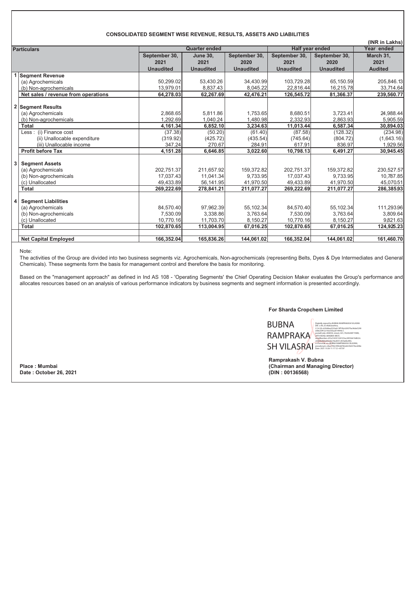#### **CONSOLIDATED SEGMENT WISE REVENUE, RESULTS, ASSETS AND LIABILITIES**

|                    | (INR in Lakhs)                      |                  |                      |                  |                        |                  |                |  |
|--------------------|-------------------------------------|------------------|----------------------|------------------|------------------------|------------------|----------------|--|
| <b>Particulars</b> |                                     |                  | <b>Quarter ended</b> |                  | <b>Half year ended</b> | Year ended       |                |  |
|                    |                                     | September 30,    | <b>June 30.</b>      | September 30,    | September 30,          | September 30,    | March 31,      |  |
|                    |                                     | 2021             | 2021                 | 2020             | 2021                   | 2020             | 2021           |  |
|                    |                                     | <b>Unaudited</b> | <b>Unaudited</b>     | <b>Unaudited</b> | <b>Unaudited</b>       | <b>Unaudited</b> | <b>Audited</b> |  |
|                    | <b>Segment Revenue</b>              |                  |                      |                  |                        |                  |                |  |
|                    | (a) Agrochemicals                   | 50.299.02        | 53,430.26            | 34.430.99        | 103,729.28             | 65.150.59        | 205,846.13     |  |
|                    | (b) Non-agrochemicals               | 13,979.01        | 8,837.43             | 8,045.22         | 22,816.44              | 16,215.78        | 33,714.64      |  |
|                    | Net sales / revenue from operations | 64,278.03        | 62,267.69            | 42,476.21        | 126,545.72             | 81,366.37        | 239,560.77     |  |
| 2                  | <b>Segment Results</b>              |                  |                      |                  |                        |                  |                |  |
|                    | (a) Agrochemicals                   | 2,868.65         | 5,811.86             | 1,753.65         | 8,680.51               | 3,723.41         | 24,988.44      |  |
|                    | (b) Non-agrochemicals               | 1.292.69         | 1.040.24             | 1.480.98         | 2.332.93               | 2,863.93         | 5,905.59       |  |
|                    | <b>Total</b>                        | 4,161.34         | 6,852.10             | 3,234.63         | 11,013.44              | 6,587.34         | 30,894.03      |  |
|                    | Less: (i) Finance cost              | (37.38)          | (50.20)              | (61.40)          | (87.58)                | (128.32)         | (234.98)       |  |
|                    | (ii) Unallocable expenditure        | (319.92)         | (425.72)             | (435.54)         | (745.64)               | (804.72)         | (1,643.16)     |  |
|                    | (iii) Unallocable income            | 347.24           | 270.67               | 284.91           | 617.91                 | 836.97           | 1,929.56       |  |
|                    | <b>Profit before Tax</b>            | 4,151.28         | 6,646.85             | 3,022.60         | 10,798.13              | 6.491.27         | 30,945.45      |  |
| 3                  | <b>Segment Assets</b>               |                  |                      |                  |                        |                  |                |  |
|                    | (a) Agrochemicals                   | 202,751.37       | 211,657.92           | 159,372.82       | 202,751.37             | 159,372.82       | 230,527.57     |  |
|                    | (b) Non-agrochemicals               | 17.037.43        | 11.041.34            | 9.733.95         | 17.037.43              | 9.733.95         | 10,787.85      |  |
|                    | (c) Unallocated                     | 49.433.89        | 56,141.95            | 41.970.50        | 49.433.89              | 41.970.50        | 45.070.51      |  |
|                    | <b>Total</b>                        | 269,222.69       | 278,841.21           | 211,077.27       | 269,222.69             | 211,077.27       | 286,385.93     |  |
|                    |                                     |                  |                      |                  |                        |                  |                |  |
| 4                  | <b>Segment Liabilities</b>          |                  |                      |                  |                        |                  |                |  |
|                    | (a) Agrochemicals                   | 84,570.40        | 97,962.39            | 55,102.34        | 84,570.40              | 55,102.34        | 111,293.96     |  |
|                    | (b) Non-agrochemicals               | 7.530.09         | 3,338.86             | 3,763.64         | 7,530.09               | 3,763.64         | 3,809.64       |  |
|                    | (c) Unallocated                     | 10.770.16        | 11.703.70            | 8.150.27         | 10.770.16              | 8.150.27         | 9,821.63       |  |
|                    | <b>Total</b>                        | 102,870.65       | 113,004.95           | 67,016.25        | 102,870.65             | 67,016.25        | 124,925.23     |  |
|                    |                                     |                  |                      |                  |                        |                  |                |  |
|                    | <b>Net Capital Employed</b>         | 166,352.04       | 165,836.26           | 144,061.02       | 166,352.04             | 144,061.02       | 161,460.70     |  |

Note:

The activities of the Group are divided into two business segments viz. Agrochemicals, Non-agrochemicals (representing Belts, Dyes & Dye Intermediates and General Chemicals). These segments form the basis for management control and therefore the basis for monitoring.

Based on the "management approach" as defined in Ind AS 108 - 'Operating Segments' the Chief Operating Decision Maker evaluates the Group's performance and allocates resources based on an analysis of various performance indicators by business segments and segment information is presented accordingly.

#### **For Sharda Cropchem Limited**

| BUBNA       |
|-------------|
| RAMPRAKA    |
| CH VII ACDA |

SH VILASRAI DER DATE: BLACTION DAMPRAMAN, PARTY ACCEDENT DES POLITICALS PRINTER DES POLITICALS PRINTER DES POLITICALS PRINTER DES POLITICALS PRINTER DES POLITICALS PRINTER DES POLITICALS PRINTER DES POLITICALS PRINTER DES Digitally signed by BUBNA RAMPRAKASH VILASRAI<br>ON: c=IIV, st=Maharashtra,<br>2.5.4.20=620d4aa3332ab1 38f1 f6c62007fac96de5296<br>e08e25f4 1a143e593aa91 4444-2,<br>portalCode=400050, street=501, PLEASANT PARK,<br>24TH ROAD, BANDRA WEST,

**Ramprakash V. Bubna Place : Mumbai (Chairman and Managing Director)**

 $Date: October 26, 2021$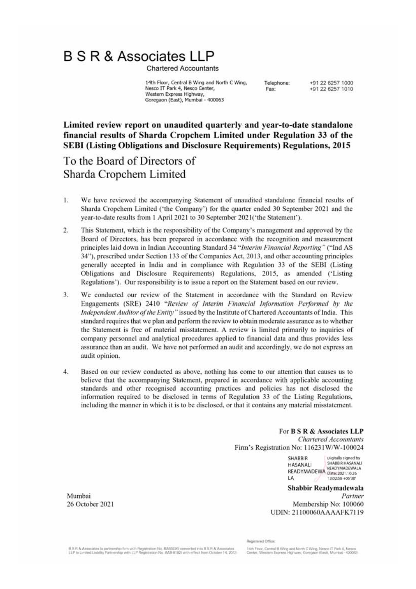# **B S R & Associates LLP**

**Chartered Accountants** 

14th Floor, Central B Wing and North C Wing, Nesco IT Park 4, Nesco Center, Western Express Highway, Goregaon (East), Mumbai - 400063

Telephone: Fax:

+91 22 6257 1000 +91 22 6257 1010

Limited review report on unaudited quarterly and year-to-date standalone financial results of Sharda Cropchem Limited under Regulation 33 of the **SEBI (Listing Obligations and Disclosure Requirements) Regulations, 2015** 

## To the Board of Directors of Sharda Cropchem Limited

- 1. We have reviewed the accompanying Statement of unaudited standalone financial results of Sharda Cropchem Limited ('the Company') for the quarter ended 30 September 2021 and the year-to-date results from 1 April 2021 to 30 September 2021('the Statement').
- $2.$ This Statement, which is the responsibility of the Company's management and approved by the Board of Directors, has been prepared in accordance with the recognition and measurement principles laid down in Indian Accounting Standard 34 "Interim Financial Reporting" ("Ind AS 34"), prescribed under Section 133 of the Companies Act, 2013, and other accounting principles generally accepted in India and in compliance with Regulation 33 of the SEBI (Listing Obligations and Disclosure Requirements) Regulations, 2015, as amended ('Listing Regulations'). Our responsibility is to issue a report on the Statement based on our review.
- $3.$ We conducted our review of the Statement in accordance with the Standard on Review Engagements (SRE) 2410 "Review of Interim Financial Information Performed by the Independent Auditor of the Entity" issued by the Institute of Chartered Accountants of India. This standard requires that we plan and perform the review to obtain moderate assurance as to whether the Statement is free of material misstatement. A review is limited primarily to inquiries of company personnel and analytical procedures applied to financial data and thus provides less assurance than an audit. We have not performed an audit and accordingly, we do not express an audit opinion.
- $4.$ Based on our review conducted as above, nothing has come to our attention that causes us to believe that the accompanying Statement, prepared in accordance with applicable accounting standards and other recognised accounting practices and policies has not disclosed the information required to be disclosed in terms of Regulation 33 of the Listing Regulations, including the manner in which it is to be disclosed, or that it contains any material misstatement.

For **B S R & Associates LLP Chartered Accountants** Firm's Registration No: 116231W/W-100024

> **SHABBIR** Digitally signed by SHABBIR HASANALI **HASANALI** READYMADEWA Date: 2021,10.26 READYMADEWALA LA 13:02:58 +05'30

Shabbir Readymadewala Partner Membership No: 100060 UDIN: 21100060AAAAFK7119

Mumbai 26 October 2021

stes la partnership firm with Registration No. BA69226 converted into B S R & As **SR & Assoc** LLP to Limited Lisbility Partnership with LLP Registration No. AAB-8182) with effect from October 14, 2013 **Registered Office** 

14th Floor, Central B Wing and North C Wing, Nesco IT Park 4, Nesco<br>Center, Western Express Highway, Goregaon (East), Mumbai - 400083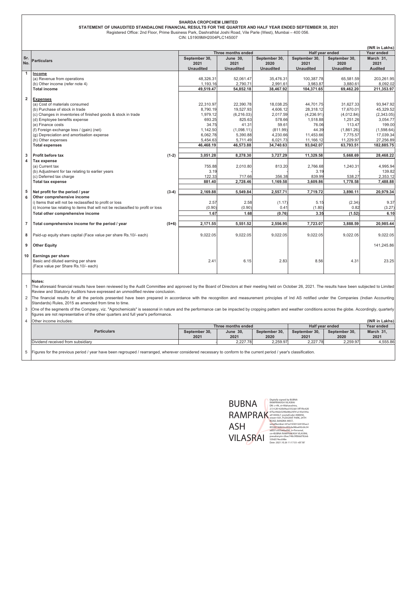|                         | <b>SHARDA CROPCHEM LIMITED</b><br>STATEMENT OF UNAUDITED STANDALONE FINANCIAL RESULTS FOR THE QUARTER AND HALF YEAR ENDED SEPTEMBER 30, 2021                                                                                                                                                |         |                          |                          |                          |                          |                          |                        |
|-------------------------|---------------------------------------------------------------------------------------------------------------------------------------------------------------------------------------------------------------------------------------------------------------------------------------------|---------|--------------------------|--------------------------|--------------------------|--------------------------|--------------------------|------------------------|
|                         | Registered Office: 2nd Floor, Prime Business Park, Dashrathlal Joshi Road, Vile Parle (West), Mumbai - 400 056.<br>CIN: L51909MH2004PLC145007                                                                                                                                               |         |                          |                          |                          |                          |                          |                        |
|                         |                                                                                                                                                                                                                                                                                             |         |                          |                          |                          |                          |                          | (INR in Lakhs)         |
|                         |                                                                                                                                                                                                                                                                                             |         |                          | Three months ended       |                          |                          | Half year ended          | Year ended             |
| Sr.<br>No.              | <b>Particulars</b>                                                                                                                                                                                                                                                                          |         | September 30,            | <b>June 30,</b>          | September 30,            | September 30,            | September 30,            | March 31,              |
|                         |                                                                                                                                                                                                                                                                                             |         | 2021<br><b>Unaudited</b> | 2021<br><b>Unaudited</b> | 2020<br><b>Unaudited</b> | 2021<br><b>Unaudited</b> | 2020<br><b>Unaudited</b> | 2021<br><b>Audited</b> |
| 1                       | Income                                                                                                                                                                                                                                                                                      |         |                          |                          |                          |                          |                          |                        |
|                         | (a) Revenue from operations                                                                                                                                                                                                                                                                 |         | 48,326.31                | 52,061.47                | 35,476.31                | 100,387.78               | 65,581.59                | 203,261.95             |
|                         | (b) Other income (refer note 4)                                                                                                                                                                                                                                                             |         | 1,193.16                 | 2,790.71                 | 2,991.61                 | 3,983.87                 | 3,880.61                 | 8,092.02               |
|                         | <b>Total income</b>                                                                                                                                                                                                                                                                         |         | 49,519.47                | 54,852.18                | 38,467.92                | 104,371.65               | 69,462.20                | 211,353.97             |
| $\overline{\mathbf{2}}$ | <b>Expenses</b>                                                                                                                                                                                                                                                                             |         |                          |                          |                          |                          |                          |                        |
|                         | (a) Cost of materials consumed                                                                                                                                                                                                                                                              |         | 22.310.97                | 22.390.78                | 18.038.25                | 44.701.75                | 31.627.33                | 93.947.92              |
|                         | (b) Purchase of stock in trade                                                                                                                                                                                                                                                              |         | 8,790.19                 | 19,527.93                | 4,606.12                 | 28,318.12                | 17,670.01                | 45,329.52              |
|                         | (c) Changes in inventories of finished goods & stock in trade                                                                                                                                                                                                                               |         | 1,979.12                 | (6,216.03)               | 2,017.59                 | (4, 236.91)              | (4,012.84)               | (2,343.05)             |
|                         | (d) Employee benefits expense<br>(e) Finance costs                                                                                                                                                                                                                                          |         | 693.25<br>34.75          | 825.63<br>41.31          | 578.66<br>59.61          | 1,518.88<br>76.06        | 1,251.26<br>113.47       | 3,054.77<br>199.00     |
|                         | (f) Foreign exchange loss / (gain) (net)                                                                                                                                                                                                                                                    |         | 1,142.50                 | (1,098.11)               | (811.99)                 | 44.39                    | (1,861.26)               | (1,598.64)             |
|                         | (g) Depreciation and amortisation expense                                                                                                                                                                                                                                                   |         | 6,062.78                 | 5,390.88                 | 4,230.66                 | 11,453.66                | 7,775.57                 | 17,039.34              |
|                         | (h) Other expenses                                                                                                                                                                                                                                                                          |         | 5,454.63                 | 5,711.49                 | 6,021.73                 | 11,166.12                | 11,229.97                | 27,256.89              |
|                         | <b>Total expenses</b>                                                                                                                                                                                                                                                                       |         | 46,468.19                | 46,573.88                | 34,740.63                | 93,042.07                | 63,793.51                | 182,885.75             |
|                         |                                                                                                                                                                                                                                                                                             |         |                          |                          |                          |                          |                          |                        |
| 3<br>4                  | Profit before tax<br>Tax expense                                                                                                                                                                                                                                                            | $(1-2)$ | 3,051.28                 | 8,278.30                 | 3,727.29                 | 11,329.58                | 5,668.69                 | 28,468.22              |
|                         | (a) Current tax                                                                                                                                                                                                                                                                             |         | 755.88                   | 2,010.80                 | 813.20                   | 2,766.68                 | 1,240.31                 | 4,995.94               |
|                         | (b) Adjustment for tax relating to earlier years                                                                                                                                                                                                                                            |         | 3.19                     |                          |                          | 3.19                     |                          | 139.82                 |
|                         | (c) Deferred tax charge                                                                                                                                                                                                                                                                     |         | 122.33                   | 717.66                   | 356.38                   | 839.99                   | 538.27                   | 2,353.12               |
|                         | <b>Total tax expense</b>                                                                                                                                                                                                                                                                    |         | 881.40                   | 2,728.46                 | 1,169.58                 | 3.609.86                 | 1,778.58                 | 7,488.88               |
| 5                       | Net profit for the period / year                                                                                                                                                                                                                                                            | $(3-4)$ | 2,169.88                 | 5,549.84                 | 2,557.71                 | 7,719.72                 | 3,890.11                 | 20,979.34              |
| 6                       | Other comprehensive income                                                                                                                                                                                                                                                                  |         |                          |                          |                          |                          |                          |                        |
|                         | i) Items that will not be reclassified to profit or loss                                                                                                                                                                                                                                    |         | 2.57                     | 2.58                     | (1.17)                   | 5.15                     | (2.34)                   | 9.37                   |
|                         | ii) Income tax relating to items that will not be reclassified to profit or loss                                                                                                                                                                                                            |         | (0.90)                   | (0.90)                   | $0.4^{\circ}$            | (1.80)                   | 0.82                     | (3.27)                 |
|                         | Total other comprehensive income                                                                                                                                                                                                                                                            |         | 1.67                     | 1.68                     | (0.76)                   | 3.35                     | (1.52)                   | 6.10                   |
|                         |                                                                                                                                                                                                                                                                                             |         |                          |                          |                          |                          |                          |                        |
| 7                       | Total comprehensive income for the period / year                                                                                                                                                                                                                                            | $(5+6)$ | 2,171.55                 | 5,551.52                 | 2,556.95                 | 7,723.07                 | 3,888.59                 | 20,985.44              |
| 8                       | Paid-up equity share capital (Face value per share Rs.10/- each)                                                                                                                                                                                                                            |         | 9,022.05                 | 9,022.05                 | 9,022.05                 | 9,022.05                 | 9,022.05                 | 9,022.05               |
| 9                       | <b>Other Equity</b>                                                                                                                                                                                                                                                                         |         |                          |                          |                          |                          |                          | 141,245.86             |
| 10                      | <b>Earnings per share</b>                                                                                                                                                                                                                                                                   |         |                          |                          |                          |                          |                          |                        |
|                         | Basic and diluted earning per share                                                                                                                                                                                                                                                         |         | 2.41                     | 6.15                     | 2.83                     | 8.56                     | 4.31                     | 23.25                  |
|                         | (Face value per Share Rs.10/- each)                                                                                                                                                                                                                                                         |         |                          |                          |                          |                          |                          |                        |
|                         |                                                                                                                                                                                                                                                                                             |         |                          |                          |                          |                          |                          |                        |
|                         | Notes:<br>The aforesaid financial results have been reviewed by the Audit Committee and approved by the Board of Directors at their meeting held on October 26, 2021. The results have been subjected to Limited                                                                            |         |                          |                          |                          |                          |                          |                        |
|                         | Review and Statutory Auditors have expressed an unmodified review conclusion.                                                                                                                                                                                                               |         |                          |                          |                          |                          |                          |                        |
| 2                       | The financial results for all the periods presented have been prepared in accordance with the recognition and measurement principles of Ind AS notified under the Companies (Indian Accounting                                                                                              |         |                          |                          |                          |                          |                          |                        |
|                         | Standards) Rules, 2015 as amended from time to time.                                                                                                                                                                                                                                        |         |                          |                          |                          |                          |                          |                        |
| 3                       | One of the segments of the Company, viz. "Agrochemicals" is seasonal in nature and the performance can be impacted by cropping pattern and weather conditions across the globe. Accordingly, quarterly<br>figures are not representative of the other quarters and full year's performance. |         |                          |                          |                          |                          |                          |                        |
| 4                       | Other income includes:                                                                                                                                                                                                                                                                      |         |                          |                          |                          |                          |                          | (INR in Lakhs)         |
|                         | Three months ended<br>Half year ended                                                                                                                                                                                                                                                       |         |                          |                          |                          | Year ended               |                          |                        |
|                         | <b>Particulars</b>                                                                                                                                                                                                                                                                          |         | September 30,<br>2021    | <b>June 30,</b><br>2021  | September 30,<br>2020    | September 30,<br>2021    | September 30,<br>2020    | March 31,<br>2021      |
|                         | Dividend received from subsidiary                                                                                                                                                                                                                                                           |         |                          | 2,227.78                 | 2,259.97                 | 2.227.78                 | 2,259.97                 | 4,555.86               |
|                         |                                                                                                                                                                                                                                                                                             |         |                          |                          |                          |                          |                          |                        |
| 5                       | Figures for the previous period / year have been regrouped / rearranged, wherever considered necessary to conform to the current period / year's classification.                                                                                                                            |         |                          |                          |                          |                          |                          |                        |

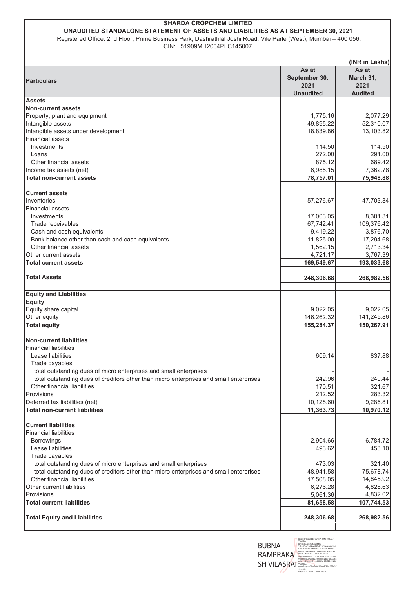#### **SHARDA CROPCHEM LIMITED** UNAUDITED STANDALONE STATEMENT OF ASSETS AND LIABILITIES AS AT SEPTEMBER 30, 2021

Registered Office: 2nd Floor, Prime Business Park, Dashrathlal Joshi Road, Vile Parle (West), Mumbai - 400 056. CIN: L51909MH2004PLC145007

|                                                                                        |                        | (INR in Lakhs)     |
|----------------------------------------------------------------------------------------|------------------------|--------------------|
| <b>Particulars</b>                                                                     | As at<br>September 30, | As at<br>March 31, |
|                                                                                        | 2021                   | 2021               |
|                                                                                        | <b>Unaudited</b>       | <b>Audited</b>     |
| <b>Assets</b><br><b>Non-current assets</b>                                             |                        |                    |
| Property, plant and equipment                                                          | 1,775.16               | 2,077.29           |
| Intangible assets                                                                      | 49,895.22              | 52,310.07          |
| Intangible assets under development                                                    | 18,839.86              | 13,103.82          |
| <b>Financial assets</b>                                                                |                        |                    |
| Investments                                                                            | 114.50                 | 114.50             |
| Loans                                                                                  | 272.00                 | 291.00             |
| Other financial assets                                                                 | 875.12                 | 689.42             |
| Income tax assets (net)                                                                | 6,985.15               | 7,362.78           |
| <b>Total non-current assets</b>                                                        | 78,757.01              | 75,948.88          |
| <b>Current assets</b>                                                                  |                        |                    |
| Inventories                                                                            | 57,276.67              | 47,703.84          |
| <b>Financial assets</b>                                                                |                        |                    |
| Investments                                                                            | 17,003.05              | 8,301.31           |
| Trade receivables                                                                      | 67,742.41              | 109,376.42         |
| Cash and cash equivalents                                                              | 9,419.22               | 3,876.70           |
| Bank balance other than cash and cash equivalents                                      | 11,825.00              | 17,294.68          |
| Other financial assets                                                                 | 1,562.15               | 2,713.34           |
| Other current assets                                                                   | 4,721.17               | 3,767.39           |
| <b>Total current assets</b>                                                            | 169,549.67             | 193,033.68         |
| <b>Total Assets</b>                                                                    | 248,306.68             | 268,982.56         |
|                                                                                        |                        |                    |
| <b>Equity and Liabilities</b>                                                          |                        |                    |
| <b>Equity</b>                                                                          |                        | 9,022.05           |
| Equity share capital<br>Other equity                                                   | 9,022.05<br>146,262.32 | 141,245.86         |
| <b>Total equity</b>                                                                    | 155,284.37             | 150,267.91         |
|                                                                                        |                        |                    |
| <b>Non-current liabilities</b>                                                         |                        |                    |
| <b>Financial liabilities</b>                                                           |                        |                    |
| Lease liabilities                                                                      | 609.14                 | 837.88             |
| Trade payables<br>total outstanding dues of micro enterprises and small enterprises    |                        |                    |
| total outstanding dues of creditors other than micro enterprises and small enterprises | 242.96                 | 240.44             |
| Other financial liabilities                                                            | 170.51                 | 321.67             |
| Provisions                                                                             | 212.52                 | 283.32             |
| Deferred tax liabilities (net)                                                         | 10,128.60              | 9,286.81           |
| <b>Total non-current liabilities</b>                                                   | 11,363.73              | 10,970.12          |
| <b>Current liabilities</b>                                                             |                        |                    |
| <b>Financial liabilities</b>                                                           |                        |                    |
| <b>Borrowings</b>                                                                      | 2,904.66               | 6,784.72           |
| Lease liabilities                                                                      | 493.62                 | 453.10             |
| Trade payables                                                                         |                        |                    |
| total outstanding dues of micro enterprises and small enterprises                      | 473.03                 | 321.40             |
| total outstanding dues of creditors other than micro enterprises and small enterprises | 48,941.58              | 75,678.74          |
| Other financial liabilities                                                            | 17,508.05              | 14,845.92          |
| Other current liabilities                                                              | 6,276.28               | 4,828.63           |
| Provisions                                                                             | 5,061.36               | 4,832.02           |
| <b>Total current liabilities</b>                                                       | 81,658.58              | 107,744.53         |
| <b>Total Equity and Liabilities</b>                                                    | 248,306.68             | 268,982.56         |
|                                                                                        |                        |                    |

VILASRAI<br>DN: c=IN,<br>2.5.4.20=6 **BUBNA** RAMPRAKA PARK, 24TH RC **SH VILASRAT** psi<br>4e

donym=zues- +---<br>98e<br>: 2021.10.26 11:17:47 +05'30'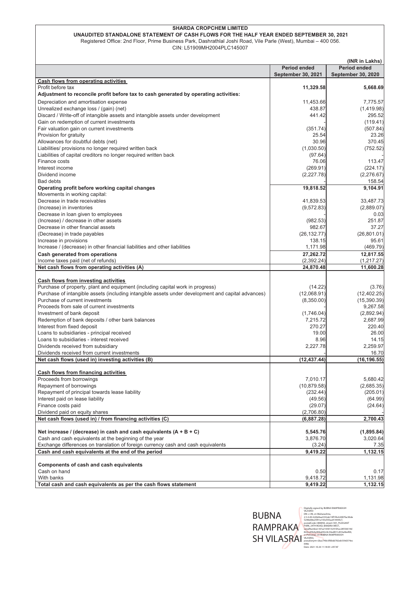| UNAUDITED STANDALONE STATEMENT OF CASH FLOWS FOR THE HALF YEAR ENDED SEPTEMBER 30, 2021                         |
|-----------------------------------------------------------------------------------------------------------------|
| Registered Office: 2nd Floor, Prime Business Park, Dashrathlal Joshi Road, Vile Parle (West), Mumbai – 400 056. |

CIN: L51909MH2004PLC145007

|                                                                                                    |                           | (INR in Lakhs)            |
|----------------------------------------------------------------------------------------------------|---------------------------|---------------------------|
|                                                                                                    | <b>Period ended</b>       | <b>Period ended</b>       |
|                                                                                                    | <b>September 30, 2021</b> | <b>September 30, 2020</b> |
| Cash flows from operating activities                                                               |                           |                           |
| Profit before tax                                                                                  | 11,329.58                 | 5,668.69                  |
| Adjustment to reconcile profit before tax to cash generated by operating activities:               |                           |                           |
| Depreciation and amortisation expense                                                              | 11,453.66                 | 7.775.57                  |
| Unrealized exchange loss / (gain) (net)                                                            | 438.87                    | (1,419.98)                |
| Discard / Write-off of intangible assets and intangible assets under development                   | 441.42                    | 295.52                    |
| Gain on redemption of current investments                                                          |                           | (119.41)                  |
| Fair valuation gain on current investments                                                         | (351.74)                  | (507.84)                  |
| Provision for gratuity                                                                             | 25.54                     | 23.26                     |
| Allowances for doubtful debts (net)                                                                | 30.96                     | 370.45                    |
| Liabilities/ provisions no longer required written back                                            | (1,030.50)                | (752.52)                  |
| Liabilities of capital creditors no longer required written back                                   | (97.64)                   |                           |
| Finance costs                                                                                      | 76.06                     | 113.47                    |
| Interest income                                                                                    | (269.91)                  | (224.17)                  |
| Dividend income                                                                                    | (2,227.78)                | (2, 276.67)               |
| <b>Bad debts</b>                                                                                   |                           | 158.54                    |
| Operating profit before working capital changes                                                    | 19,818.52                 | 9,104.91                  |
| Movements in working capital:                                                                      |                           |                           |
| Decrease in trade receivables                                                                      | 41.839.53                 | 33,487.73                 |
| (Increase) in inventories                                                                          | (9,572.83)                | (2,889.07)                |
| Decrease in loan given to employees                                                                |                           | 0.03                      |
| (Increase) / decrease in other assets                                                              | (982.53)                  | 251.87                    |
| Decrease in other financial assets                                                                 | 982.67                    | 37.27                     |
| (Decrease) in trade payables                                                                       | (26, 132.77)              | (26, 801.01)              |
| Increase in provisions                                                                             | 138.15                    | 95.61                     |
| Increase / (decrease) in other financial liabilities and other liabilities                         | 1,171.98                  | (469.79)                  |
| Cash generated from operations                                                                     | 27,262.72                 | 12.817.55                 |
| Income taxes paid (net of refunds)                                                                 | (2, 392.24)               | (1,217.27)                |
| Net cash flows from operating activities (A)                                                       | 24,870.48                 | 11,600.28                 |
|                                                                                                    |                           |                           |
| Cash flows from investing activities                                                               |                           |                           |
| Purchase of property, plant and equipment (including capital work in progress)                     | (14.22)                   | (3.76)                    |
| Purchase of intangible assets (including intangible assets under development and capital advances) | (12,068.91)               | (12, 402.25)              |
| Purchase of current investments                                                                    | (8,350.00)                | (15, 390.39)              |
| Proceeds from sale of current investments                                                          |                           | 9,267.58                  |
| Investment of bank deposit                                                                         | (1,746.04)                | (2,892.94)                |
| Redemption of bank deposits / other bank balances                                                  | 7,215.72                  | 2,687.99                  |
| Interest from fixed deposit                                                                        | 270.27                    | 220.40                    |
| Loans to subsidiaries - principal received                                                         | 19.00                     | 26.00                     |
| Loans to subsidiaries - interest received                                                          | 8.96                      | 14.15                     |
| Dividends received from subsidiary                                                                 | 2,227.78                  | 2,259.97                  |
| Dividends received from current investments                                                        |                           | 16.70                     |
| Net cash flows (used in) investing activities (B)                                                  | (12, 437.44)              | (16, 196.55)              |
|                                                                                                    |                           |                           |
| <b>Cash flows from financing activities</b>                                                        |                           |                           |
| Proceeds from borrowings                                                                           | 7,010.17                  | 5,680.42                  |
| Repayment of borrowings                                                                            | (10, 879.58)              | (2,685.35)                |
| Repayment of principal towards lease liability                                                     | (232.44)                  | (205.01)                  |
| Interest paid on lease liability                                                                   | (49.56)                   | (64.99)                   |
| Finance costs paid                                                                                 | (29.07)                   | (24.64)                   |
| Dividend paid on equity shares                                                                     | (2,706.80)                |                           |
| Net cash flows (used in) / from financing activities (C)                                           | (6, 887.28)               | 2,700.43                  |
|                                                                                                    |                           |                           |
| Net increase / (decrease) in cash and cash equivalents $(A + B + C)$                               | 5,545.76                  | (1,895.84)                |
| Cash and cash equivalents at the beginning of the year                                             | 3,876.70                  | 3,020.64                  |
| Exchange differences on translation of foreign currency cash and cash equivalents                  | (3.24)                    | 7.35                      |
| Cash and cash equivalents at the end of the period                                                 | 9,419.22                  | 1,132.15                  |
|                                                                                                    |                           |                           |
| <b>Components of cash and cash equivalents</b>                                                     |                           |                           |
| Cash on hand                                                                                       | 0.50                      | 0.17                      |
| With banks                                                                                         | 9,418.72                  | 1,131.98                  |
| Total cash and cash equivalents as per the cash flows statement                                    | 9,419.22                  | 1,132.15                  |

 $\begin{array}{|c|c|} \hline \textbf{WBMA} & \textbf{Wamh, number} \\\hline \textbf{WBMA} & \textbf{Wamh, number} \\\hline \textbf{WBMA} & \textbf{Wamh, number} \\\hline \textbf{WBMA} & \textbf{Wamh, number} \\\hline \textbf{WBMA} & \textbf{Wamh, number} \\\hline \textbf{WBMA} & \textbf{Wamh, number} \\\hline \textbf{WBMA} & \textbf{Wamh, number} \\\hline \textbf{WBMA} & \textbf{Wamh, number} \\\hline \textbf{Wamh, number} & \textbf{Wamh, number} \$